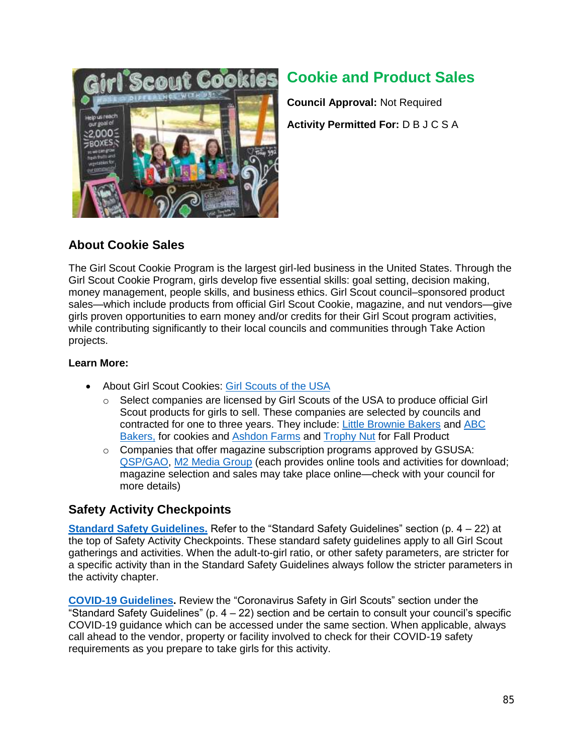

# **Cookie and Product Sales**

**Council Approval:** Not Required **Activity Permitted For:** D B J C S A

## **About Cookie Sales**

The Girl Scout Cookie Program is the largest girl-led business in the United States. Through the Girl Scout Cookie Program, girls develop five essential skills: goal setting, decision making, money management, people skills, and business ethics. Girl Scout council–sponsored product sales—which include products from official Girl Scout Cookie, magazine, and nut vendors—give girls proven opportunities to earn money and/or credits for their Girl Scout program activities, while contributing significantly to their local councils and communities through Take Action projects.

## **Learn More:**

- About Girl Scout Cookies: [Girl Scouts of the USA](http://www.girlscouts.org/en/cookies/all-about-cookies.html)
	- $\circ$  Select companies are licensed by Girl Scouts of the USA to produce official Girl Scout products for girls to sell. These companies are selected by councils and contracted for one to three years. They include: [Little Brownie Bakers](http://www.littlebrowniebakers.com/) and [ABC](https://www.abcsmartcookies.com/#/login) [Bakers,](https://www.abcsmartcookies.com/#/login) for cookies and [Ashdon Farms](http://gsorders.ashdonfarms.com/DesktopDefault.aspx) and [Trophy Nut](https://www.trophynut.com/) for Fall Product
	- o Companies that offer magazine subscription programs approved by GSUSA: [QSP/GAO,](https://www.girlscouts.qspgao.com/Login) [M2 Media Group](https://www.m2mediagroup.com/Home/About) (each provides online tools and activities for download; magazine selection and sales may take place online—check with your council for more details)

## **Safety Activity Checkpoints**

**Standard Safety Guidelines.** Refer to the "Standard Safety Guidelines" section (p. 4 – 22) at the top of Safety Activity Checkpoints. These standard safety guidelines apply to all Girl Scout gatherings and activities. When the adult-to-girl ratio, or other safety parameters, are stricter for a specific activity than in the Standard Safety Guidelines always follow the stricter parameters in the activity chapter.

**COVID-19 Guidelines.** Review the "Coronavirus Safety in Girl Scouts" section under the "Standard Safety Guidelines" (p.  $4 - 22$ ) section and be certain to consult your council's specific COVID-19 guidance which can be accessed under the same section. When applicable, always call ahead to the vendor, property or facility involved to check for their COVID-19 safety requirements as you prepare to take girls for this activity.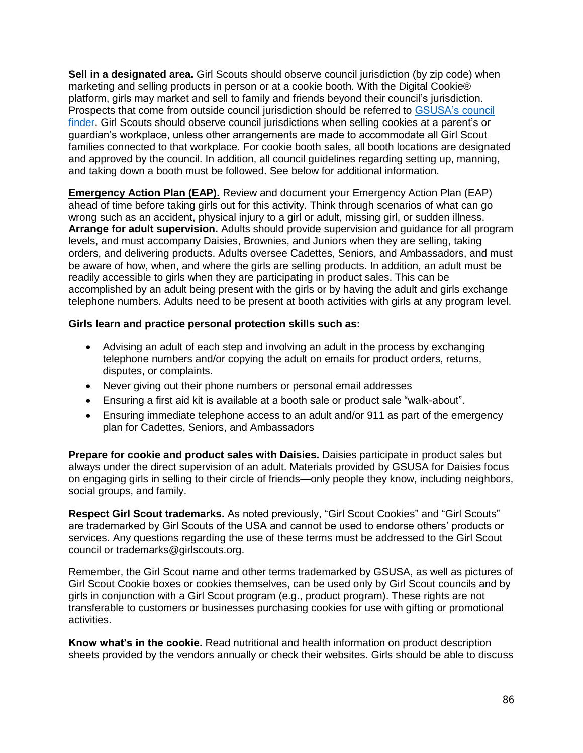**Sell in a designated area.** Girl Scouts should observe council jurisdiction (by zip code) when marketing and selling products in person or at a cookie booth. With the Digital Cookie® platform, girls may market and sell to family and friends beyond their council's jurisdiction. Prospects that come from outside council jurisdiction should be referred to [GSUSA's](http://www.girlscouts.org/en/about-girl-scouts/join/council-finder.html) council [finder.](http://www.girlscouts.org/en/about-girl-scouts/join/council-finder.html) Girl Scouts should observe council jurisdictions when selling cookies at a parent's or guardian's workplace, unless other arrangements are made to accommodate all Girl Scout families connected to that workplace. For cookie booth sales, all booth locations are designated and approved by the council. In addition, all council guidelines regarding setting up, manning, and taking down a booth must be followed. See below for additional information.

**Emergency Action Plan (EAP).** Review and document your Emergency Action Plan (EAP) ahead of time before taking girls out for this activity. Think through scenarios of what can go wrong such as an accident, physical injury to a girl or adult, missing girl, or sudden illness. **Arrange for adult supervision.** Adults should provide supervision and guidance for all program levels, and must accompany Daisies, Brownies, and Juniors when they are selling, taking orders, and delivering products. Adults oversee Cadettes, Seniors, and Ambassadors, and must be aware of how, when, and where the girls are selling products. In addition, an adult must be readily accessible to girls when they are participating in product sales. This can be accomplished by an adult being present with the girls or by having the adult and girls exchange telephone numbers. Adults need to be present at booth activities with girls at any program level.

## **Girls learn and practice personal protection skills such as:**

- Advising an adult of each step and involving an adult in the process by exchanging telephone numbers and/or copying the adult on emails for product orders, returns, disputes, or complaints.
- Never giving out their phone numbers or personal email addresses
- Ensuring a first aid kit is available at a booth sale or product sale "walk-about".
- Ensuring immediate telephone access to an adult and/or 911 as part of the emergency plan for Cadettes, Seniors, and Ambassadors

**Prepare for cookie and product sales with Daisies.** Daisies participate in product sales but always under the direct supervision of an adult. Materials provided by GSUSA for Daisies focus on engaging girls in selling to their circle of friends—only people they know, including neighbors, social groups, and family.

**Respect Girl Scout trademarks.** As noted previously, "Girl Scout Cookies" and "Girl Scouts" are trademarked by Girl Scouts of the USA and cannot be used to endorse others' products or services. Any questions regarding the use of these terms must be addressed to the Girl Scout council or trademarks@girlscouts.org.

Remember, the Girl Scout name and other terms trademarked by GSUSA, as well as pictures of Girl Scout Cookie boxes or cookies themselves, can be used only by Girl Scout councils and by girls in conjunction with a Girl Scout program (e.g., product program). These rights are not transferable to customers or businesses purchasing cookies for use with gifting or promotional activities.

**Know what's in the cookie.** Read nutritional and health information on product description sheets provided by the vendors annually or check their websites. Girls should be able to discuss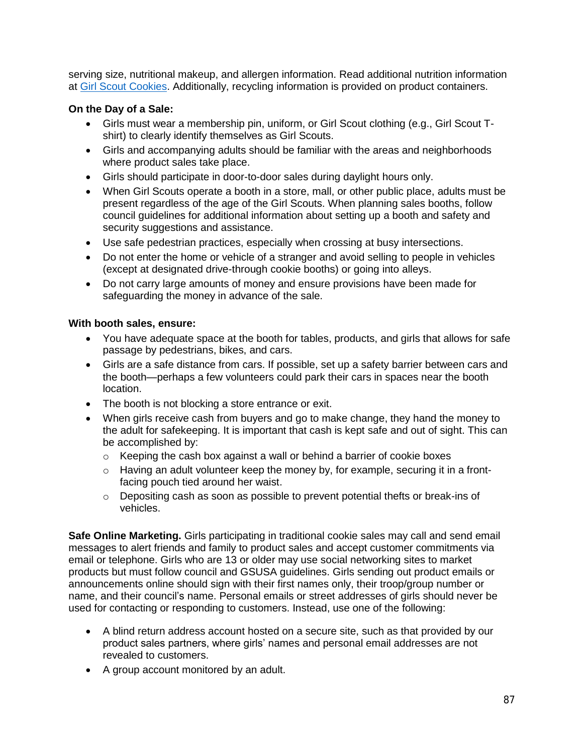serving size, nutritional makeup, and allergen information. Read additional nutrition information at [Girl Scout Cookies.](https://www.girlscouts.org/en/cookies/all-about-cookies.html) Additionally, recycling information is provided on product containers.

### **On the Day of a Sale:**

- Girls must wear a membership pin, uniform, or Girl Scout clothing (e.g., Girl Scout Tshirt) to clearly identify themselves as Girl Scouts.
- Girls and accompanying adults should be familiar with the areas and neighborhoods where product sales take place.
- Girls should participate in door-to-door sales during daylight hours only.
- When Girl Scouts operate a booth in a store, mall, or other public place, adults must be present regardless of the age of the Girl Scouts. When planning sales booths, follow council guidelines for additional information about setting up a booth and safety and security suggestions and assistance.
- Use safe pedestrian practices, especially when crossing at busy intersections.
- Do not enter the home or vehicle of a stranger and avoid selling to people in vehicles (except at designated drive-through cookie booths) or going into alleys.
- Do not carry large amounts of money and ensure provisions have been made for safeguarding the money in advance of the sale.

#### **With booth sales, ensure:**

- You have adequate space at the booth for tables, products, and girls that allows for safe passage by pedestrians, bikes, and cars.
- Girls are a safe distance from cars. If possible, set up a safety barrier between cars and the booth—perhaps a few volunteers could park their cars in spaces near the booth location.
- The booth is not blocking a store entrance or exit.
- When girls receive cash from buyers and go to make change, they hand the money to the adult for safekeeping. It is important that cash is kept safe and out of sight. This can be accomplished by:
	- o Keeping the cash box against a wall or behind a barrier of cookie boxes
	- $\circ$  Having an adult volunteer keep the money by, for example, securing it in a frontfacing pouch tied around her waist.
	- $\circ$  Depositing cash as soon as possible to prevent potential thefts or break-ins of vehicles.

**Safe Online Marketing.** Girls participating in traditional cookie sales may call and send email messages to alert friends and family to product sales and accept customer commitments via email or telephone. Girls who are 13 or older may use social networking sites to market products but must follow council and GSUSA guidelines. Girls sending out product emails or announcements online should sign with their first names only, their troop/group number or name, and their council's name. Personal emails or street addresses of girls should never be used for contacting or responding to customers. Instead, use one of the following:

- A blind return address account hosted on a secure site, such as that provided by our product sales partners, where girls' names and personal email addresses are not revealed to customers.
- A group account monitored by an adult.